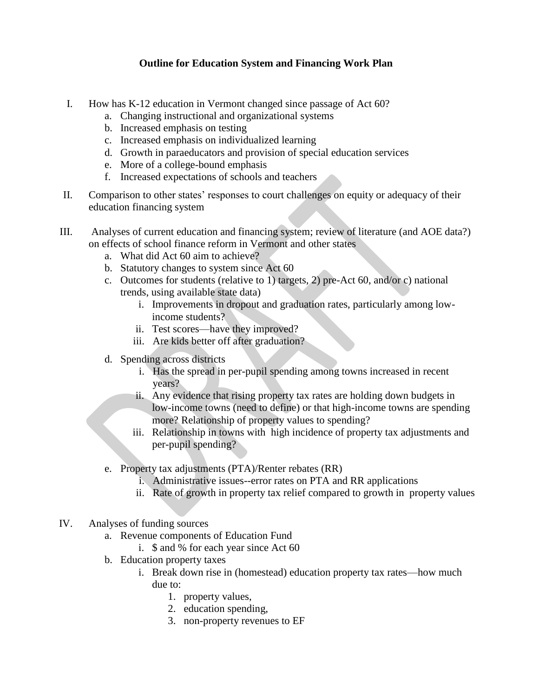## **Outline for Education System and Financing Work Plan**

- I. How has K-12 education in Vermont changed since passage of Act 60?
	- a. Changing instructional and organizational systems
	- b. Increased emphasis on testing
	- c. Increased emphasis on individualized learning
	- d. Growth in paraeducators and provision of special education services
	- e. More of a college-bound emphasis
	- f. Increased expectations of schools and teachers
- II. Comparison to other states' responses to court challenges on equity or adequacy of their education financing system
- III. Analyses of current education and financing system; review of literature (and AOE data?) on effects of school finance reform in Vermont and other states
	- a. What did Act 60 aim to achieve?
	- b. Statutory changes to system since Act 60
	- c. Outcomes for students (relative to 1) targets, 2) pre-Act 60, and/or c) national trends, using available state data)
		- i. Improvements in dropout and graduation rates, particularly among lowincome students?
		- ii. Test scores—have they improved?
		- iii. Are kids better off after graduation?
	- d. Spending across districts
		- i. Has the spread in per-pupil spending among towns increased in recent years?
		- ii. Any evidence that rising property tax rates are holding down budgets in low-income towns (need to define) or that high-income towns are spending more? Relationship of property values to spending?
		- iii. Relationship in towns with high incidence of property tax adjustments and per-pupil spending?
	- e. Property tax adjustments (PTA)/Renter rebates (RR)
		- i. Administrative issues--error rates on PTA and RR applications
		- ii. Rate of growth in property tax relief compared to growth in property values
- IV. Analyses of funding sources
	- a. Revenue components of Education Fund
		- i. \$ and % for each year since Act 60
	- b. Education property taxes
		- i. Break down rise in (homestead) education property tax rates—how much due to:
			- 1. property values,
			- 2. education spending,
			- 3. non-property revenues to EF